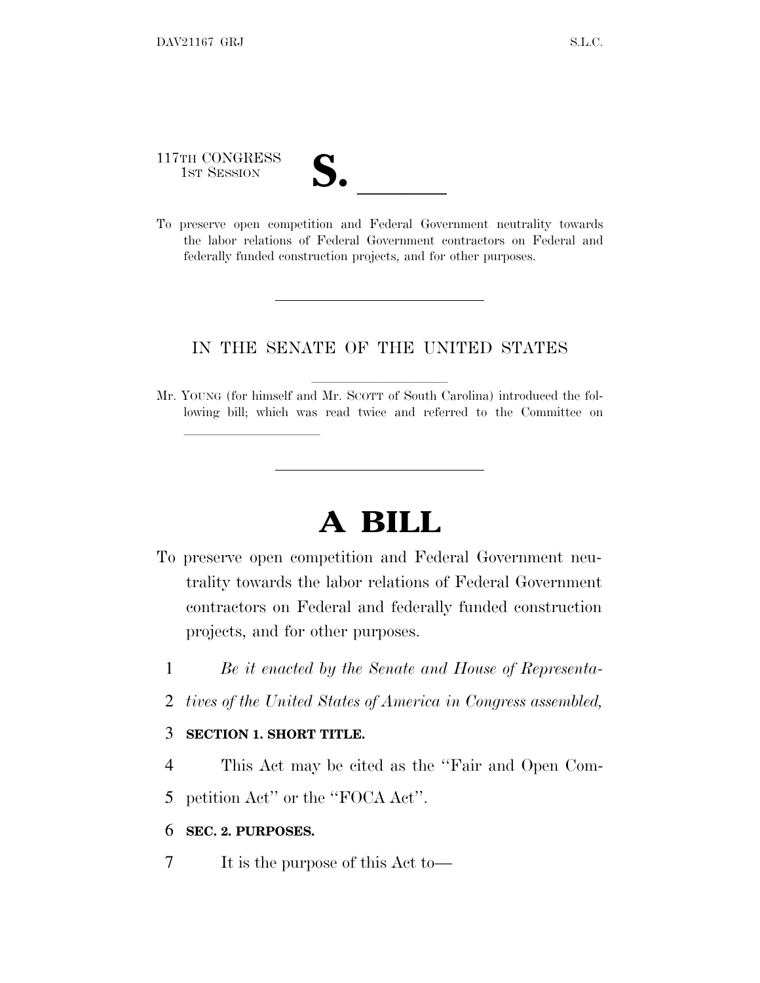117TH CONGRESS

117TH CONGRESS<br>
1ST SESSION<br>
To preserve open competition and Federal Government neutrality towards the labor relations of Federal Government contractors on Federal and federally funded construction projects, and for other purposes.

## IN THE SENATE OF THE UNITED STATES

Mr. YOUNG (for himself and Mr. SCOTT of South Carolina) introduced the following bill; which was read twice and referred to the Committee on

## **A BILL**

- To preserve open competition and Federal Government neutrality towards the labor relations of Federal Government contractors on Federal and federally funded construction projects, and for other purposes.
	- 1 *Be it enacted by the Senate and House of Representa-*
	- 2 *tives of the United States of America in Congress assembled,*

## 3 **SECTION 1. SHORT TITLE.**

lland and a state of the state of the state of the state of the state of the state of the state of the state o

4 This Act may be cited as the ''Fair and Open Com-

5 petition Act'' or the ''FOCA Act''.

## 6 **SEC. 2. PURPOSES.**

7 It is the purpose of this Act to—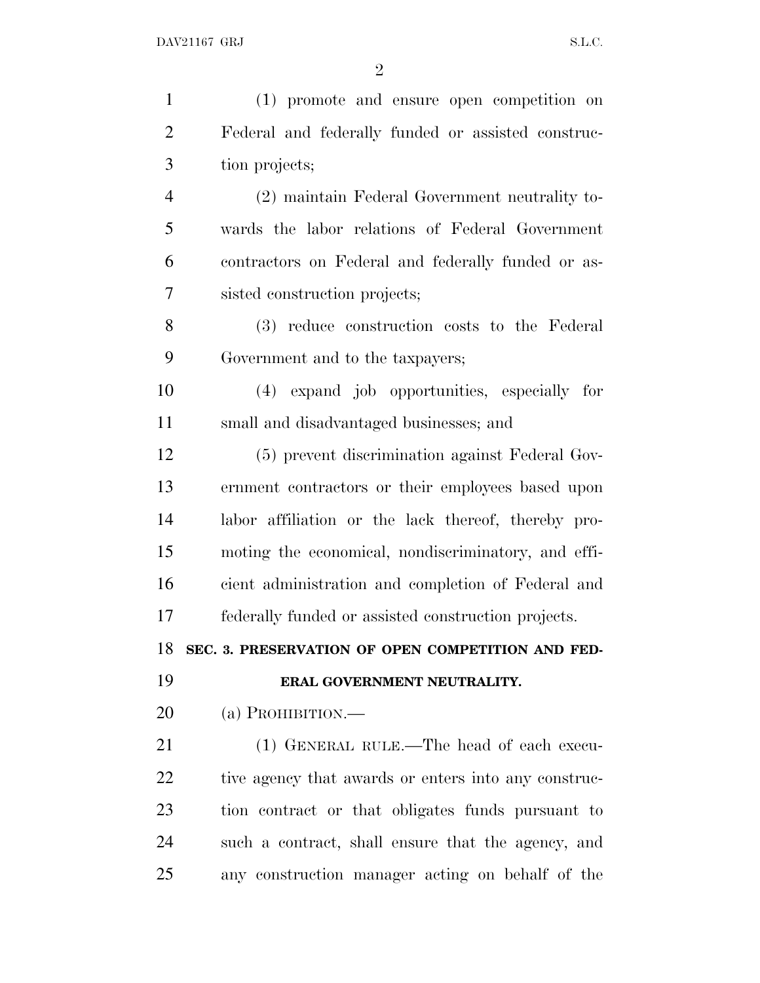| $\mathbf{1}$   | (1) promote and ensure open competition on           |
|----------------|------------------------------------------------------|
| $\overline{2}$ | Federal and federally funded or assisted construc-   |
| 3              | tion projects;                                       |
| $\overline{4}$ | (2) maintain Federal Government neutrality to-       |
| 5              | wards the labor relations of Federal Government      |
| 6              | contractors on Federal and federally funded or as-   |
| 7              | sisted construction projects;                        |
| 8              | (3) reduce construction costs to the Federal         |
| 9              | Government and to the taxpayers;                     |
| 10             | (4) expand job opportunities, especially for         |
| 11             | small and disadvantaged businesses; and              |
| 12             | (5) prevent discrimination against Federal Gov-      |
| 13             | ernment contractors or their employees based upon    |
| 14             | labor affiliation or the lack thereof, thereby pro-  |
| 15             | moting the economical, nondiscriminatory, and effi-  |
| 16             | cient administration and completion of Federal and   |
| 17             | federally funded or assisted construction projects.  |
| 18             | SEC. 3. PRESERVATION OF OPEN COMPETITION AND FED-    |
| 19             | ERAL GOVERNMENT NEUTRALITY.                          |
| 20             | (a) PROHIBITION.—                                    |
| 21             | (1) GENERAL RULE.—The head of each execu-            |
| 22             |                                                      |
|                | tive agency that awards or enters into any construc- |
| 23             | tion contract or that obligates funds pursuant to    |
| 24             | such a contract, shall ensure that the agency, and   |
| 25             | any construction manager acting on behalf of the     |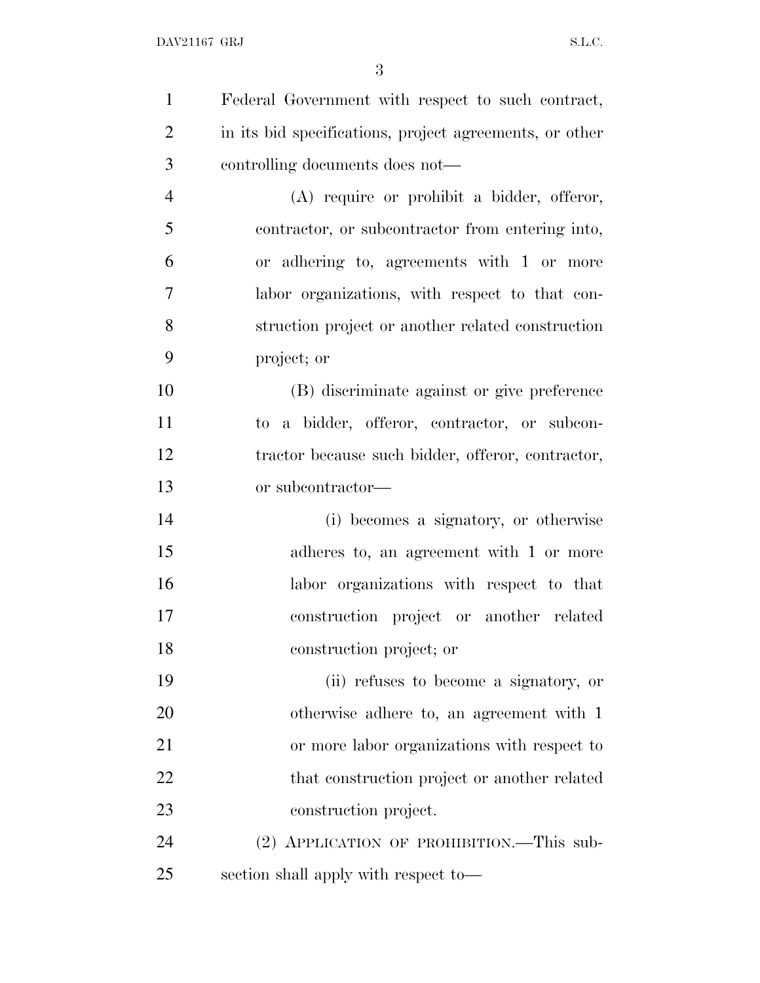| $\mathbf{1}$   | Federal Government with respect to such contract,       |
|----------------|---------------------------------------------------------|
| $\overline{2}$ | in its bid specifications, project agreements, or other |
| 3              | controlling documents does not—                         |
| $\overline{4}$ | (A) require or prohibit a bidder, offeror,              |
| 5              | contractor, or subcontractor from entering into,        |
| 6              | or adhering to, agreements with 1 or more               |
| 7              | labor organizations, with respect to that con-          |
| 8              | struction project or another related construction       |
| 9              | project; or                                             |
| 10             | (B) discriminate against or give preference             |
| 11             | to a bidder, offeror, contractor, or subcon-            |
| 12             | tractor because such bidder, offeror, contractor,       |
| 13             | or subcontractor-                                       |
| 14             | (i) becomes a signatory, or otherwise                   |
| 15             | adheres to, an agreement with 1 or more                 |
| 16             | labor organizations with respect to that                |
| 17             | construction project or another related                 |
| 18             | construction project; or                                |
| 19             | (ii) refuses to become a signatory, or                  |
| 20             | otherwise adhere to, an agreement with 1                |
| 21             | or more labor organizations with respect to             |
| 22             | that construction project or another related            |
| 23             | construction project.                                   |
| 24             | (2) APPLICATION OF PROHIBITION.—This sub-               |
| 25             | section shall apply with respect to-                    |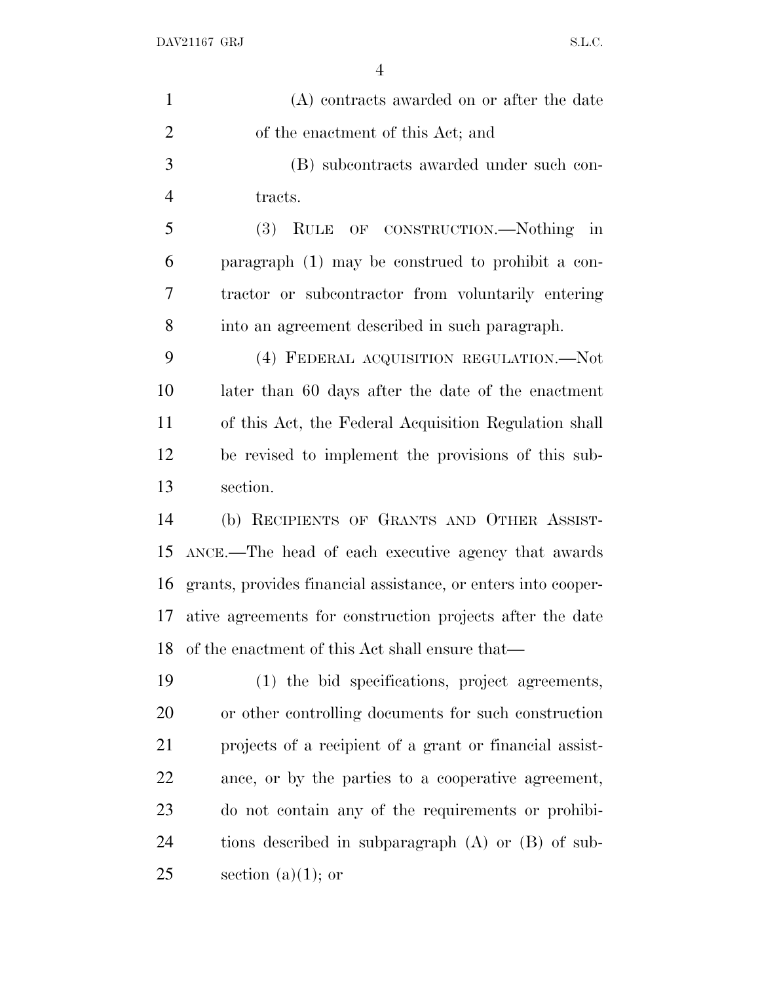| $\mathbf{1}$   | (A) contracts awarded on or after the date                    |
|----------------|---------------------------------------------------------------|
| $\overline{2}$ | of the enactment of this Act; and                             |
| 3              | (B) subcontracts awarded under such con-                      |
| $\overline{4}$ | tracts.                                                       |
| 5              | OF CONSTRUCTION.—Nothing in<br><b>(3)</b><br>RULE             |
| 6              | paragraph (1) may be construed to prohibit a con-             |
| 7              | tractor or subcontractor from voluntarily entering            |
| 8              | into an agreement described in such paragraph.                |
| 9              | (4) FEDERAL ACQUISITION REGULATION.—Not                       |
| 10             | later than 60 days after the date of the enactment            |
| 11             | of this Act, the Federal Acquisition Regulation shall         |
| 12             | be revised to implement the provisions of this sub-           |
| 13             | section.                                                      |
| 14             | (b) RECIPIENTS OF GRANTS AND OTHER ASSIST-                    |
| 15             | ANCE.—The head of each executive agency that awards           |
| 16             | grants, provides financial assistance, or enters into cooper- |
| 17             | ative agreements for construction projects after the date     |
| 18             | of the enactment of this Act shall ensure that—               |
| 19             | (1) the bid specifications, project agreements,               |
| 20             | or other controlling documents for such construction          |
| 21             | projects of a recipient of a grant or financial assist-       |
| 22             | ance, or by the parties to a cooperative agreement,           |
| 23             | do not contain any of the requirements or prohibi-            |
| 24             | tions described in subparagraph $(A)$ or $(B)$ of sub-        |
| 25             | section $(a)(1)$ ; or                                         |
|                |                                                               |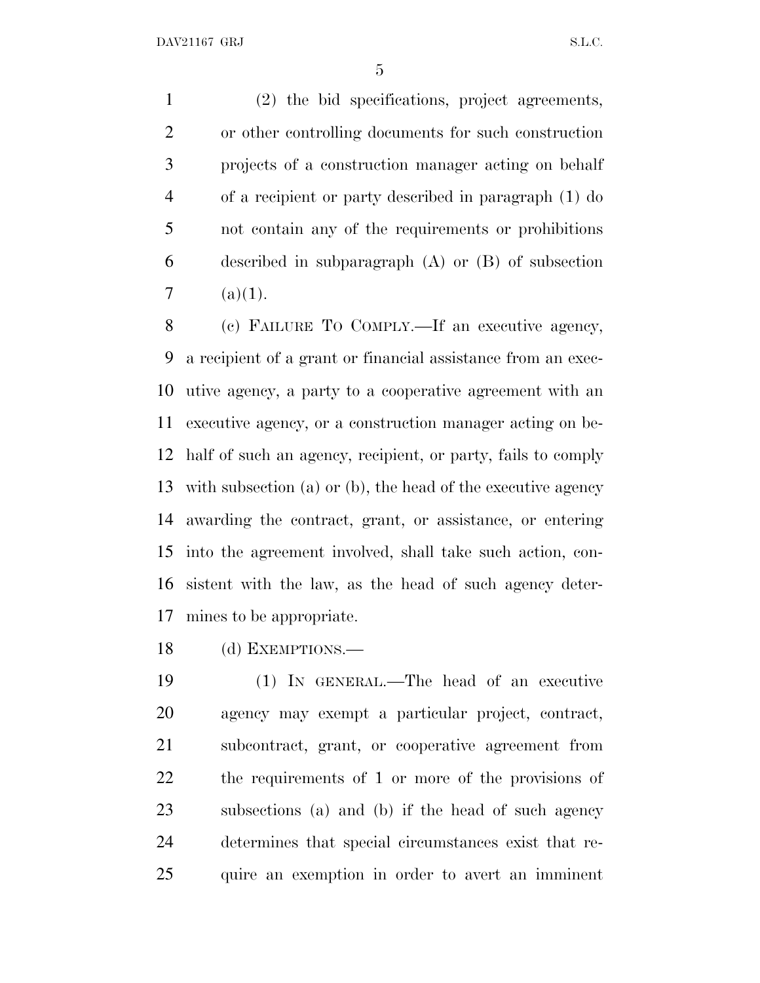(2) the bid specifications, project agreements, or other controlling documents for such construction projects of a construction manager acting on behalf of a recipient or party described in paragraph (1) do not contain any of the requirements or prohibitions described in subparagraph (A) or (B) of subsection 7  $(a)(1)$ .

 (c) FAILURE T<sup>O</sup> COMPLY.—If an executive agency, a recipient of a grant or financial assistance from an exec- utive agency, a party to a cooperative agreement with an executive agency, or a construction manager acting on be- half of such an agency, recipient, or party, fails to comply with subsection (a) or (b), the head of the executive agency awarding the contract, grant, or assistance, or entering into the agreement involved, shall take such action, con- sistent with the law, as the head of such agency deter-mines to be appropriate.

(d) EXEMPTIONS.—

 (1) IN GENERAL.—The head of an executive agency may exempt a particular project, contract, subcontract, grant, or cooperative agreement from the requirements of 1 or more of the provisions of subsections (a) and (b) if the head of such agency determines that special circumstances exist that re-quire an exemption in order to avert an imminent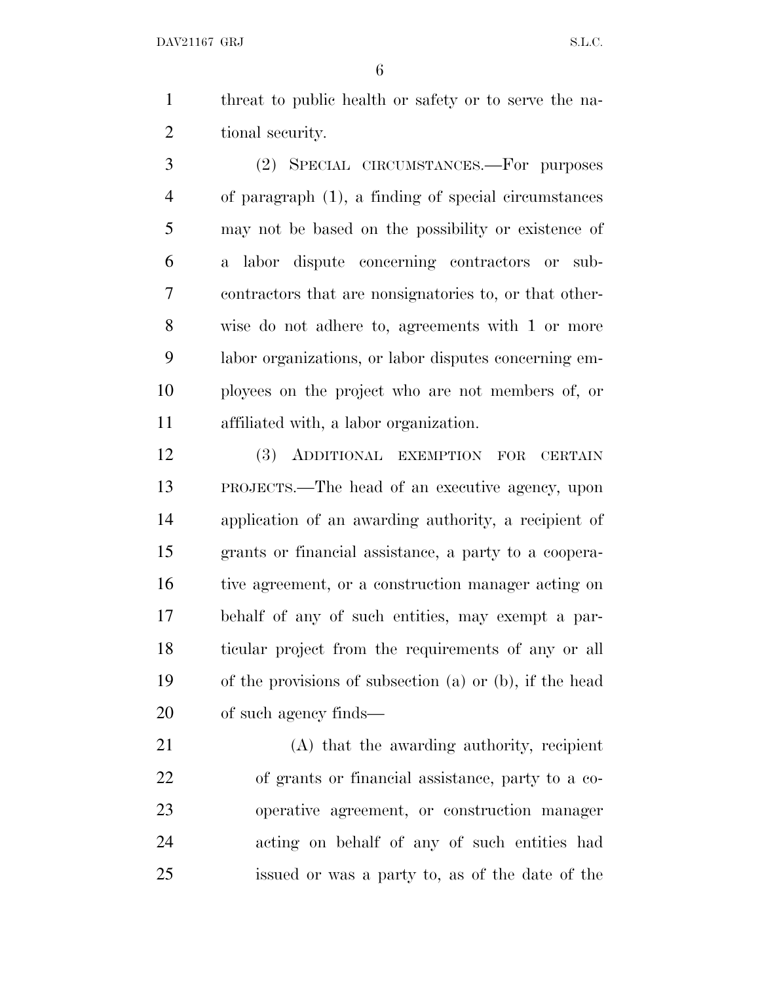DAV21167 GRJ S.L.C.

 threat to public health or safety or to serve the na-tional security.

 (2) SPECIAL CIRCUMSTANCES.—For purposes of paragraph (1), a finding of special circumstances may not be based on the possibility or existence of a labor dispute concerning contractors or sub- contractors that are nonsignatories to, or that other- wise do not adhere to, agreements with 1 or more labor organizations, or labor disputes concerning em- ployees on the project who are not members of, or affiliated with, a labor organization.

 (3) ADDITIONAL EXEMPTION FOR CERTAIN PROJECTS.—The head of an executive agency, upon application of an awarding authority, a recipient of grants or financial assistance, a party to a coopera- tive agreement, or a construction manager acting on behalf of any of such entities, may exempt a par- ticular project from the requirements of any or all of the provisions of subsection (a) or (b), if the head of such agency finds—

 (A) that the awarding authority, recipient of grants or financial assistance, party to a co- operative agreement, or construction manager acting on behalf of any of such entities had issued or was a party to, as of the date of the